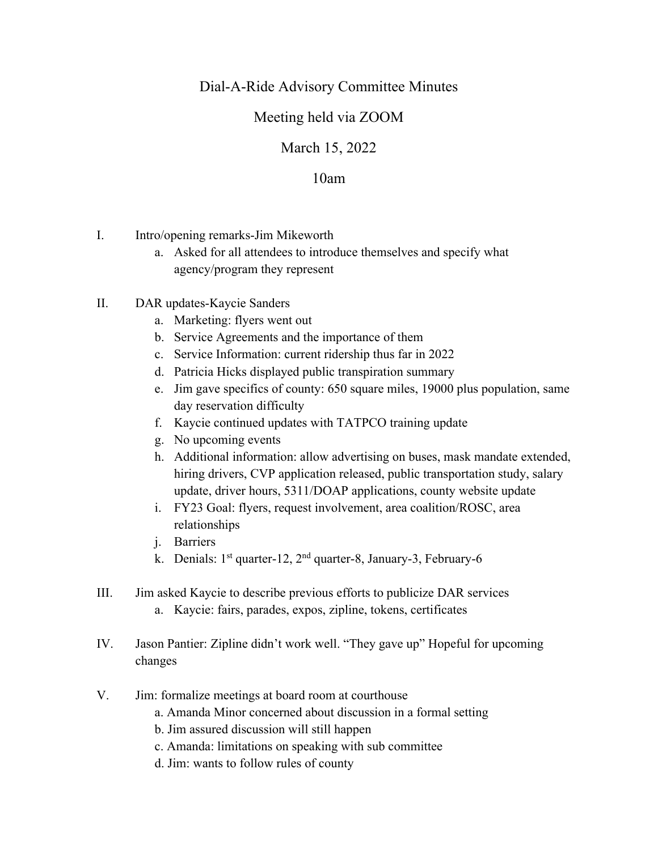## Dial-A-Ride Advisory Committee Minutes

## Meeting held via ZOOM

## March 15, 2022

## 10am

- I. Intro/opening remarks-Jim Mikeworth
	- a. Asked for all attendees to introduce themselves and specify what agency/program they represent
- II. DAR updates-Kaycie Sanders
	- a. Marketing: flyers went out
	- b. Service Agreements and the importance of them
	- c. Service Information: current ridership thus far in 2022
	- d. Patricia Hicks displayed public transpiration summary
	- e. Jim gave specifics of county: 650 square miles, 19000 plus population, same day reservation difficulty
	- f. Kaycie continued updates with TATPCO training update
	- g. No upcoming events
	- h. Additional information: allow advertising on buses, mask mandate extended, hiring drivers, CVP application released, public transportation study, salary update, driver hours, 5311/DOAP applications, county website update
	- i. FY23 Goal: flyers, request involvement, area coalition/ROSC, area relationships
	- j. Barriers
	- k. Denials: 1st quarter-12, 2nd quarter-8, January-3, February-6
- III. Jim asked Kaycie to describe previous efforts to publicize DAR services a. Kaycie: fairs, parades, expos, zipline, tokens, certificates
- IV. Jason Pantier: Zipline didn't work well. "They gave up" Hopeful for upcoming changes
- V. Jim: formalize meetings at board room at courthouse
	- a. Amanda Minor concerned about discussion in a formal setting
	- b. Jim assured discussion will still happen
	- c. Amanda: limitations on speaking with sub committee
	- d. Jim: wants to follow rules of county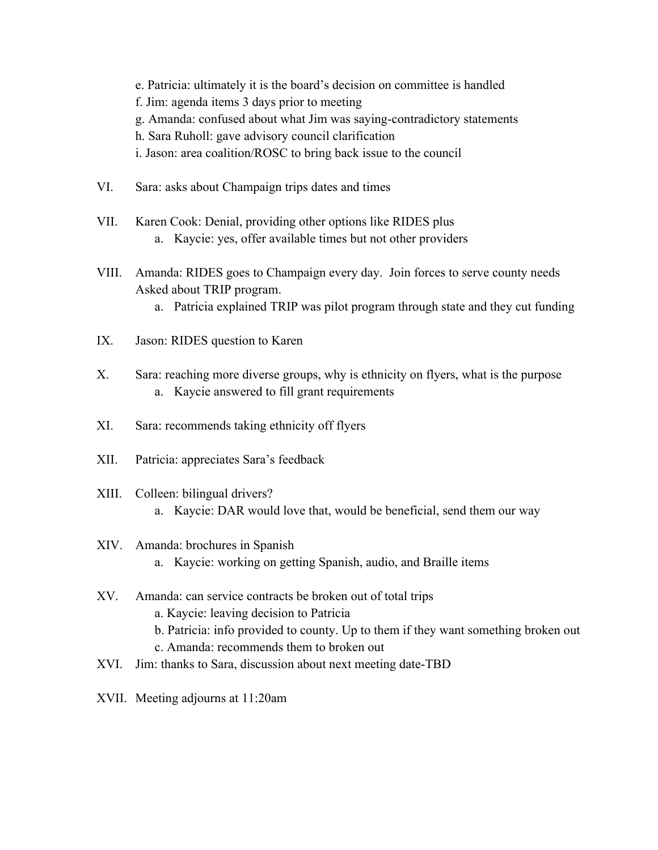- e. Patricia: ultimately it is the board's decision on committee is handled
- f. Jim: agenda items 3 days prior to meeting
- g. Amanda: confused about what Jim was saying-contradictory statements
- h. Sara Ruholl: gave advisory council clarification
- i. Jason: area coalition/ROSC to bring back issue to the council
- VI. Sara: asks about Champaign trips dates and times
- VII. Karen Cook: Denial, providing other options like RIDES plus a. Kaycie: yes, offer available times but not other providers
- VIII. Amanda: RIDES goes to Champaign every day. Join forces to serve county needs Asked about TRIP program.
	- a. Patricia explained TRIP was pilot program through state and they cut funding
- IX. Jason: RIDES question to Karen
- X. Sara: reaching more diverse groups, why is ethnicity on flyers, what is the purpose a. Kaycie answered to fill grant requirements
- XI. Sara: recommends taking ethnicity off flyers
- XII. Patricia: appreciates Sara's feedback
- XIII. Colleen: bilingual drivers?
	- a. Kaycie: DAR would love that, would be beneficial, send them our way
- XIV. Amanda: brochures in Spanish
	- a. Kaycie: working on getting Spanish, audio, and Braille items
- XV. Amanda: can service contracts be broken out of total trips
	- a. Kaycie: leaving decision to Patricia
	- b. Patricia: info provided to county. Up to them if they want something broken out
	- c. Amanda: recommends them to broken out
- XVI. Jim: thanks to Sara, discussion about next meeting date-TBD
- XVII. Meeting adjourns at 11:20am